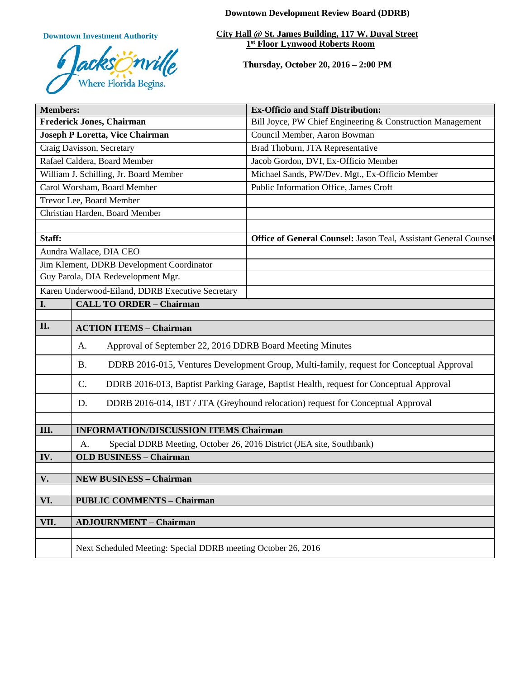**Downtown Development Review Board (DDRB)**

**Downtown Investment Authority**



**City Hall @ St. James Building, 117 W. Duval Street 1st Floor Lynwood Roberts Room** 

**Thursday, October 20, 2016 – 2:00 PM**

| <b>Members:</b>                                  |                                                                                                       | <b>Ex-Officio and Staff Distribution:</b>                        |
|--------------------------------------------------|-------------------------------------------------------------------------------------------------------|------------------------------------------------------------------|
| <b>Frederick Jones, Chairman</b>                 |                                                                                                       | Bill Joyce, PW Chief Engineering & Construction Management       |
| Joseph P Loretta, Vice Chairman                  |                                                                                                       | Council Member, Aaron Bowman                                     |
| Craig Davisson, Secretary                        |                                                                                                       | Brad Thoburn, JTA Representative                                 |
| Rafael Caldera, Board Member                     |                                                                                                       | Jacob Gordon, DVI, Ex-Officio Member                             |
| William J. Schilling, Jr. Board Member           |                                                                                                       | Michael Sands, PW/Dev. Mgt., Ex-Officio Member                   |
| Carol Worsham, Board Member                      |                                                                                                       | Public Information Office, James Croft                           |
| Trevor Lee, Board Member                         |                                                                                                       |                                                                  |
| Christian Harden, Board Member                   |                                                                                                       |                                                                  |
|                                                  |                                                                                                       |                                                                  |
| Staff:                                           |                                                                                                       | Office of General Counsel: Jason Teal, Assistant General Counsel |
| Aundra Wallace, DIA CEO                          |                                                                                                       |                                                                  |
| Jim Klement, DDRB Development Coordinator        |                                                                                                       |                                                                  |
| Guy Parola, DIA Redevelopment Mgr.               |                                                                                                       |                                                                  |
| Karen Underwood-Eiland, DDRB Executive Secretary |                                                                                                       |                                                                  |
| I.                                               | <b>CALL TO ORDER - Chairman</b>                                                                       |                                                                  |
|                                                  |                                                                                                       |                                                                  |
| II.                                              | <b>ACTION ITEMS - Chairman</b>                                                                        |                                                                  |
|                                                  | Approval of September 22, 2016 DDRB Board Meeting Minutes<br>A.                                       |                                                                  |
|                                                  | DDRB 2016-015, Ventures Development Group, Multi-family, request for Conceptual Approval<br><b>B.</b> |                                                                  |
|                                                  | C.<br>DDRB 2016-013, Baptist Parking Garage, Baptist Health, request for Conceptual Approval          |                                                                  |
|                                                  | DDRB 2016-014, IBT / JTA (Greyhound relocation) request for Conceptual Approval<br>D.                 |                                                                  |
|                                                  |                                                                                                       |                                                                  |
| III.                                             | <b>INFORMATION/DISCUSSION ITEMS Chairman</b>                                                          |                                                                  |
|                                                  | Special DDRB Meeting, October 26, 2016 District (JEA site, Southbank)<br>A.                           |                                                                  |
| IV.                                              | <b>OLD BUSINESS - Chairman</b>                                                                        |                                                                  |
|                                                  |                                                                                                       |                                                                  |
| V.                                               | <b>NEW BUSINESS - Chairman</b>                                                                        |                                                                  |
| VI.                                              | <b>PUBLIC COMMENTS - Chairman</b>                                                                     |                                                                  |
|                                                  |                                                                                                       |                                                                  |
| VII.                                             | <b>ADJOURNMENT - Chairman</b>                                                                         |                                                                  |
|                                                  |                                                                                                       |                                                                  |
|                                                  | Next Scheduled Meeting: Special DDRB meeting October 26, 2016                                         |                                                                  |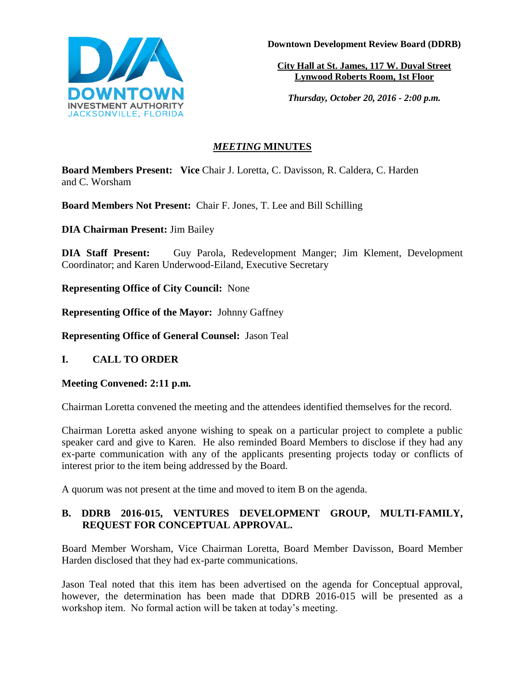

**Downtown Development Review Board (DDRB)**

**City Hall at St. James, 117 W. Duval Street Lynwood Roberts Room, 1st Floor**

*Thursday, October 20, 2016 - 2:00 p.m.*

## *MEETING* **MINUTES**

**Board Members Present: Vice** Chair J. Loretta, C. Davisson, R. Caldera, C. Harden and C. Worsham

**Board Members Not Present:** Chair F. Jones, T. Lee and Bill Schilling

**DIA Chairman Present:** Jim Bailey

**DIA Staff Present:** Guy Parola, Redevelopment Manger; Jim Klement, Development Coordinator; and Karen Underwood-Eiland, Executive Secretary

**Representing Office of City Council:** None

**Representing Office of the Mayor:** Johnny Gaffney

**Representing Office of General Counsel:** Jason Teal

# **I. CALL TO ORDER**

### **Meeting Convened: 2:11 p.m.**

Chairman Loretta convened the meeting and the attendees identified themselves for the record.

Chairman Loretta asked anyone wishing to speak on a particular project to complete a public speaker card and give to Karen. He also reminded Board Members to disclose if they had any ex-parte communication with any of the applicants presenting projects today or conflicts of interest prior to the item being addressed by the Board.

A quorum was not present at the time and moved to item B on the agenda.

## **B. DDRB 2016-015, VENTURES DEVELOPMENT GROUP, MULTI-FAMILY, REQUEST FOR CONCEPTUAL APPROVAL.**

Board Member Worsham, Vice Chairman Loretta, Board Member Davisson, Board Member Harden disclosed that they had ex-parte communications.

Jason Teal noted that this item has been advertised on the agenda for Conceptual approval, however, the determination has been made that DDRB 2016-015 will be presented as a workshop item. No formal action will be taken at today's meeting.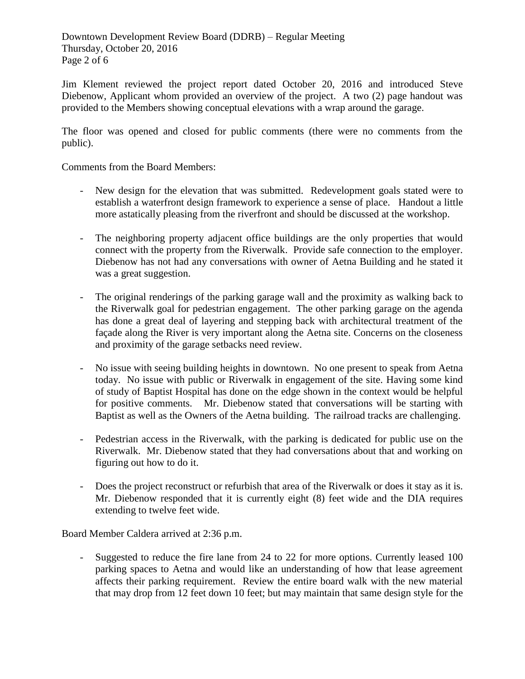Downtown Development Review Board (DDRB) – Regular Meeting Thursday, October 20, 2016 Page 2 of 6

Jim Klement reviewed the project report dated October 20, 2016 and introduced Steve Diebenow, Applicant whom provided an overview of the project. A two (2) page handout was provided to the Members showing conceptual elevations with a wrap around the garage.

The floor was opened and closed for public comments (there were no comments from the public).

Comments from the Board Members:

- New design for the elevation that was submitted. Redevelopment goals stated were to establish a waterfront design framework to experience a sense of place. Handout a little more astatically pleasing from the riverfront and should be discussed at the workshop.
- The neighboring property adjacent office buildings are the only properties that would connect with the property from the Riverwalk. Provide safe connection to the employer. Diebenow has not had any conversations with owner of Aetna Building and he stated it was a great suggestion.
- The original renderings of the parking garage wall and the proximity as walking back to the Riverwalk goal for pedestrian engagement. The other parking garage on the agenda has done a great deal of layering and stepping back with architectural treatment of the façade along the River is very important along the Aetna site. Concerns on the closeness and proximity of the garage setbacks need review.
- No issue with seeing building heights in downtown. No one present to speak from Aetna today. No issue with public or Riverwalk in engagement of the site. Having some kind of study of Baptist Hospital has done on the edge shown in the context would be helpful for positive comments. Mr. Diebenow stated that conversations will be starting with Baptist as well as the Owners of the Aetna building. The railroad tracks are challenging.
- Pedestrian access in the Riverwalk, with the parking is dedicated for public use on the Riverwalk. Mr. Diebenow stated that they had conversations about that and working on figuring out how to do it.
- Does the project reconstruct or refurbish that area of the Riverwalk or does it stay as it is. Mr. Diebenow responded that it is currently eight (8) feet wide and the DIA requires extending to twelve feet wide.

Board Member Caldera arrived at 2:36 p.m.

- Suggested to reduce the fire lane from 24 to 22 for more options. Currently leased 100 parking spaces to Aetna and would like an understanding of how that lease agreement affects their parking requirement. Review the entire board walk with the new material that may drop from 12 feet down 10 feet; but may maintain that same design style for the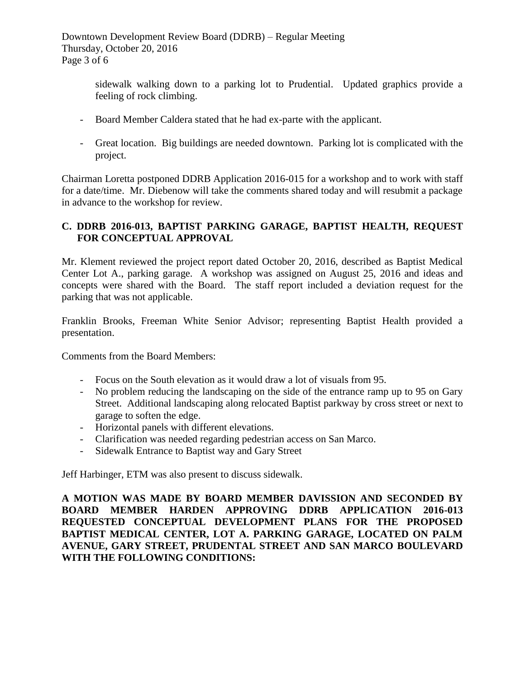Downtown Development Review Board (DDRB) – Regular Meeting Thursday, October 20, 2016 Page 3 of 6

> sidewalk walking down to a parking lot to Prudential. Updated graphics provide a feeling of rock climbing.

- Board Member Caldera stated that he had ex-parte with the applicant.
- Great location. Big buildings are needed downtown. Parking lot is complicated with the project.

Chairman Loretta postponed DDRB Application 2016-015 for a workshop and to work with staff for a date/time. Mr. Diebenow will take the comments shared today and will resubmit a package in advance to the workshop for review.

## **C. DDRB 2016-013, BAPTIST PARKING GARAGE, BAPTIST HEALTH, REQUEST FOR CONCEPTUAL APPROVAL**

Mr. Klement reviewed the project report dated October 20, 2016, described as Baptist Medical Center Lot A., parking garage. A workshop was assigned on August 25, 2016 and ideas and concepts were shared with the Board. The staff report included a deviation request for the parking that was not applicable.

Franklin Brooks, Freeman White Senior Advisor; representing Baptist Health provided a presentation.

Comments from the Board Members:

- Focus on the South elevation as it would draw a lot of visuals from 95.
- No problem reducing the landscaping on the side of the entrance ramp up to 95 on Gary Street. Additional landscaping along relocated Baptist parkway by cross street or next to garage to soften the edge.
- Horizontal panels with different elevations.
- Clarification was needed regarding pedestrian access on San Marco.
- Sidewalk Entrance to Baptist way and Gary Street

Jeff Harbinger, ETM was also present to discuss sidewalk.

**A MOTION WAS MADE BY BOARD MEMBER DAVISSION AND SECONDED BY BOARD MEMBER HARDEN APPROVING DDRB APPLICATION 2016-013 REQUESTED CONCEPTUAL DEVELOPMENT PLANS FOR THE PROPOSED BAPTIST MEDICAL CENTER, LOT A. PARKING GARAGE, LOCATED ON PALM AVENUE, GARY STREET, PRUDENTAL STREET AND SAN MARCO BOULEVARD WITH THE FOLLOWING CONDITIONS:**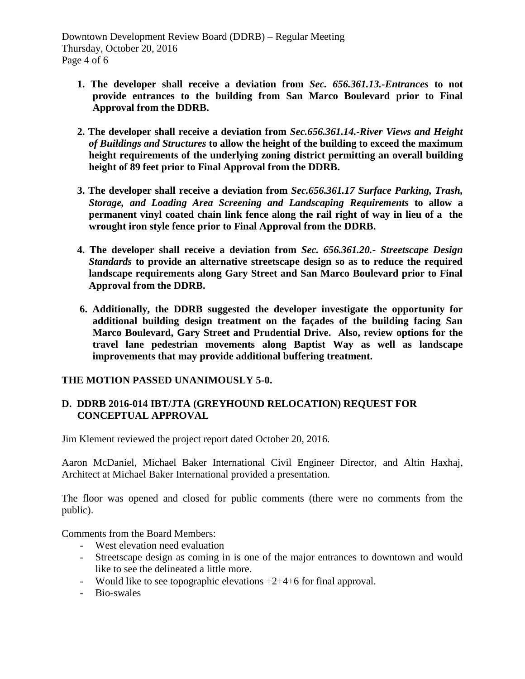- **1. The developer shall receive a deviation from** *Sec. 656.361.13.-Entrances* **to not provide entrances to the building from San Marco Boulevard prior to Final Approval from the DDRB.**
- **2. The developer shall receive a deviation from** *Sec.656.361.14.-River Views and Height of Buildings and Structures* **to allow the height of the building to exceed the maximum height requirements of the underlying zoning district permitting an overall building height of 89 feet prior to Final Approval from the DDRB.**
- **3. The developer shall receive a deviation from** *Sec.656.361.17 Surface Parking, Trash, Storage, and Loading Area Screening and Landscaping Requirements* **to allow a permanent vinyl coated chain link fence along the rail right of way in lieu of a the wrought iron style fence prior to Final Approval from the DDRB.**
- **4. The developer shall receive a deviation from** *Sec. 656.361.20.- Streetscape Design Standards* **to provide an alternative streetscape design so as to reduce the required landscape requirements along Gary Street and San Marco Boulevard prior to Final Approval from the DDRB.**
- **6. Additionally, the DDRB suggested the developer investigate the opportunity for additional building design treatment on the façades of the building facing San Marco Boulevard, Gary Street and Prudential Drive. Also, review options for the travel lane pedestrian movements along Baptist Way as well as landscape improvements that may provide additional buffering treatment.**

### **THE MOTION PASSED UNANIMOUSLY 5-0.**

### **D. DDRB 2016-014 IBT/JTA (GREYHOUND RELOCATION) REQUEST FOR CONCEPTUAL APPROVAL**

Jim Klement reviewed the project report dated October 20, 2016.

Aaron McDaniel, Michael Baker International Civil Engineer Director, and Altin Haxhaj, Architect at Michael Baker International provided a presentation.

The floor was opened and closed for public comments (there were no comments from the public).

Comments from the Board Members:

- West elevation need evaluation
- Streetscape design as coming in is one of the major entrances to downtown and would like to see the delineated a little more.
- Would like to see topographic elevations  $+2+4+6$  for final approval.
- Bio-swales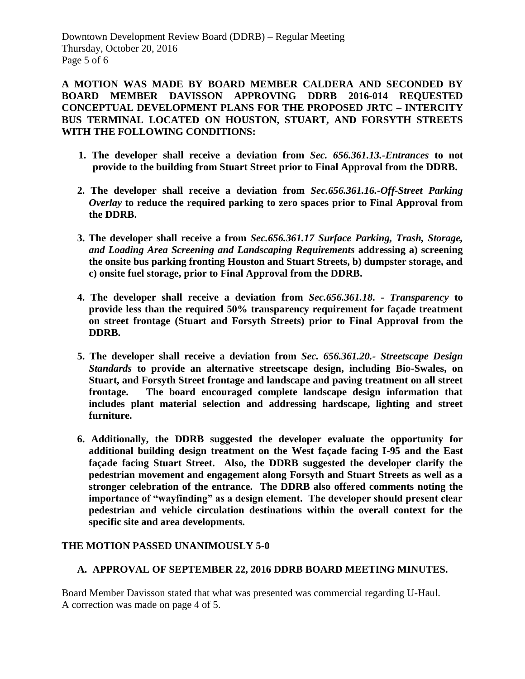Downtown Development Review Board (DDRB) – Regular Meeting Thursday, October 20, 2016 Page 5 of 6

**A MOTION WAS MADE BY BOARD MEMBER CALDERA AND SECONDED BY BOARD MEMBER DAVISSON APPROVING DDRB 2016-014 REQUESTED CONCEPTUAL DEVELOPMENT PLANS FOR THE PROPOSED JRTC – INTERCITY BUS TERMINAL LOCATED ON HOUSTON, STUART, AND FORSYTH STREETS WITH THE FOLLOWING CONDITIONS:**

- **1. The developer shall receive a deviation from** *Sec. 656.361.13.-Entrances* **to not provide to the building from Stuart Street prior to Final Approval from the DDRB.**
- **2. The developer shall receive a deviation from** *Sec.656.361.16.-Off-Street Parking Overlay* **to reduce the required parking to zero spaces prior to Final Approval from the DDRB.**
- **3. The developer shall receive a from** *Sec.656.361.17 Surface Parking, Trash, Storage, and Loading Area Screening and Landscaping Requirements* **addressing a) screening the onsite bus parking fronting Houston and Stuart Streets, b) dumpster storage, and c) onsite fuel storage, prior to Final Approval from the DDRB.**
- **4. The developer shall receive a deviation from** *Sec.656.361.18***. -** *Transparency* **to provide less than the required 50% transparency requirement for façade treatment on street frontage (Stuart and Forsyth Streets) prior to Final Approval from the DDRB.**
- **5. The developer shall receive a deviation from** *Sec. 656.361.20.- Streetscape Design Standards* **to provide an alternative streetscape design, including Bio-Swales, on Stuart, and Forsyth Street frontage and landscape and paving treatment on all street frontage. The board encouraged complete landscape design information that includes plant material selection and addressing hardscape, lighting and street furniture.**
- **6. Additionally, the DDRB suggested the developer evaluate the opportunity for additional building design treatment on the West façade facing I-95 and the East façade facing Stuart Street. Also, the DDRB suggested the developer clarify the pedestrian movement and engagement along Forsyth and Stuart Streets as well as a stronger celebration of the entrance. The DDRB also offered comments noting the importance of "wayfinding" as a design element. The developer should present clear pedestrian and vehicle circulation destinations within the overall context for the specific site and area developments.**

### **THE MOTION PASSED UNANIMOUSLY 5-0**

### **A. APPROVAL OF SEPTEMBER 22, 2016 DDRB BOARD MEETING MINUTES.**

Board Member Davisson stated that what was presented was commercial regarding U-Haul. A correction was made on page 4 of 5.